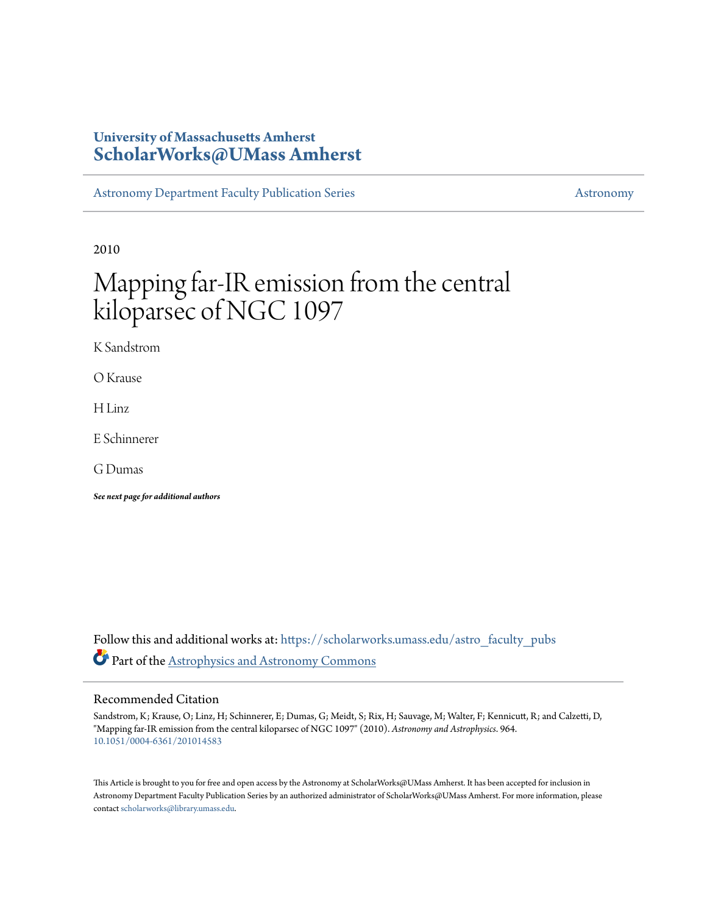## **University of Massachusetts Amherst [ScholarWorks@UMass Amherst](https://scholarworks.umass.edu?utm_source=scholarworks.umass.edu%2Fastro_faculty_pubs%2F964&utm_medium=PDF&utm_campaign=PDFCoverPages)**

[Astronomy Department Faculty Publication Series](https://scholarworks.umass.edu/astro_faculty_pubs?utm_source=scholarworks.umass.edu%2Fastro_faculty_pubs%2F964&utm_medium=PDF&utm_campaign=PDFCoverPages) [Astronomy](https://scholarworks.umass.edu/astro?utm_source=scholarworks.umass.edu%2Fastro_faculty_pubs%2F964&utm_medium=PDF&utm_campaign=PDFCoverPages) Astronomy

2010

# Mapping far-IR emission from the central kiloparsec of NGC 1097

K Sandstrom

O Krause

H Linz

E Schinnerer

G Dumas

*See next page for additional authors*

Follow this and additional works at: [https://scholarworks.umass.edu/astro\\_faculty\\_pubs](https://scholarworks.umass.edu/astro_faculty_pubs?utm_source=scholarworks.umass.edu%2Fastro_faculty_pubs%2F964&utm_medium=PDF&utm_campaign=PDFCoverPages) Part of the [Astrophysics and Astronomy Commons](http://network.bepress.com/hgg/discipline/123?utm_source=scholarworks.umass.edu%2Fastro_faculty_pubs%2F964&utm_medium=PDF&utm_campaign=PDFCoverPages)

## Recommended Citation

Sandstrom, K; Krause, O; Linz, H; Schinnerer, E; Dumas, G; Meidt, S; Rix, H; Sauvage, M; Walter, F; Kennicutt, R; and Calzetti, D, "Mapping far-IR emission from the central kiloparsec of NGC 1097" (2010). *Astronomy and Astrophysics*. 964. <10.1051/0004-6361/201014583>

This Article is brought to you for free and open access by the Astronomy at ScholarWorks@UMass Amherst. It has been accepted for inclusion in Astronomy Department Faculty Publication Series by an authorized administrator of ScholarWorks@UMass Amherst. For more information, please contact [scholarworks@library.umass.edu](mailto:scholarworks@library.umass.edu).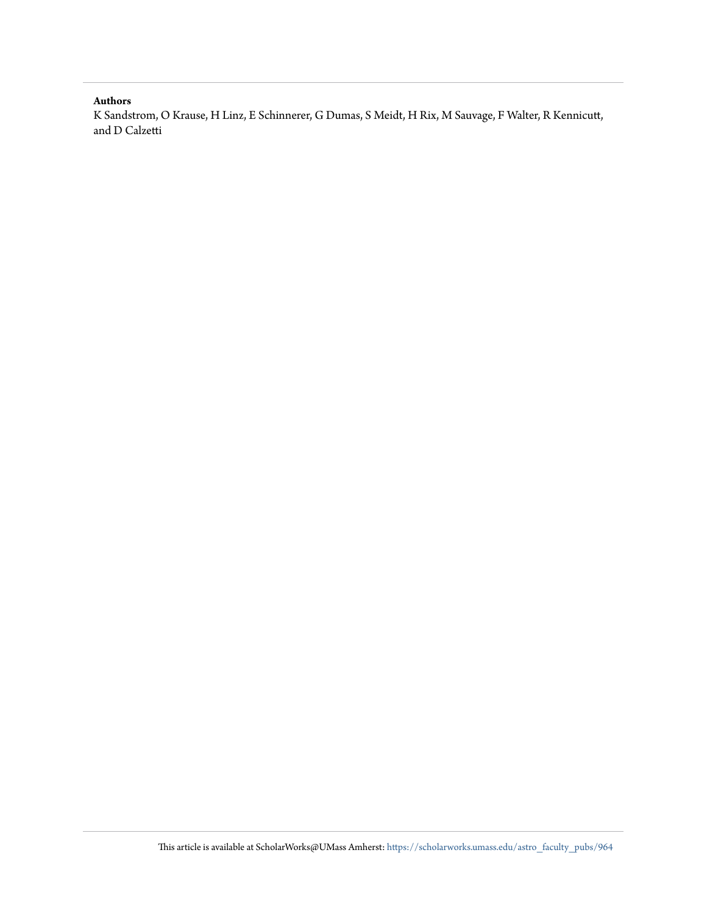### **Authors**

K Sandstrom, O Krause, H Linz, E Schinnerer, G Dumas, S Meidt, H Rix, M Sauvage, F Walter, R Kennicutt, and D Calzetti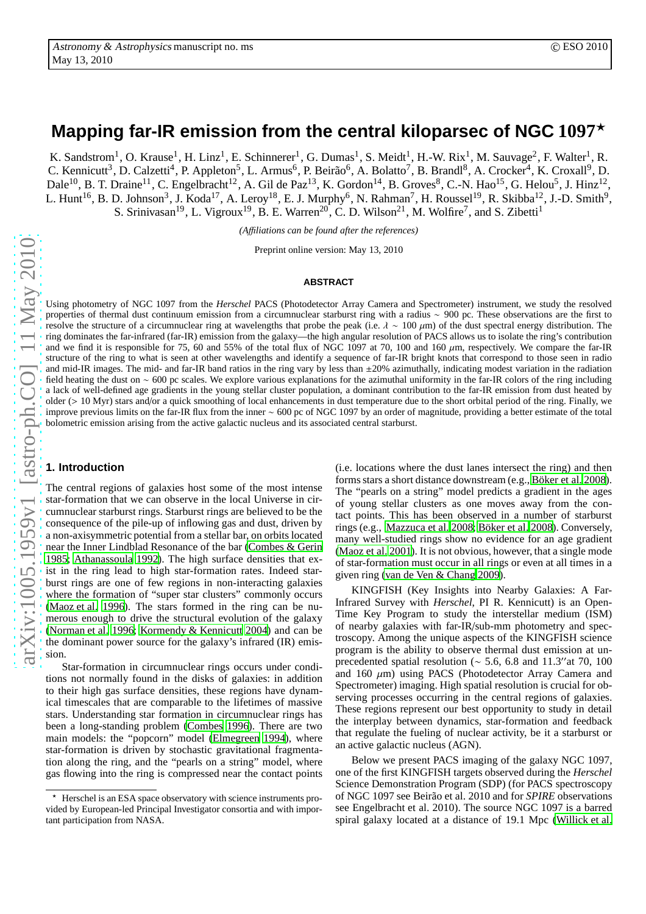# **Mapping far-IR emission from the central kiloparsec of NGC 1097**<sup>⋆</sup>

K. Sandstrom<sup>1</sup>, O. Krause<sup>1</sup>, H. Linz<sup>1</sup>, E. Schinnerer<sup>1</sup>, G. Dumas<sup>1</sup>, S. Meidt<sup>1</sup>, H.-W. Rix<sup>1</sup>, M. Sauvage<sup>2</sup>, F. Walter<sup>1</sup>, R. C. Kennicutt<sup>3</sup>, D. Calzetti<sup>4</sup>, P. Appleton<sup>5</sup>, L. Armus<sup>6</sup>, P. Beirão<sup>6</sup>, A. Bolatto<sup>7</sup>, B. Brandl<sup>8</sup>, A. Crocker<sup>4</sup>, K. Croxall<sup>9</sup>, D. Dale<sup>10</sup>, B. T. Draine<sup>11</sup>, C. Engelbracht<sup>12</sup>, A. Gil de Paz<sup>13</sup>, K. Gordon<sup>14</sup>, B. Groves<sup>8</sup>, C.-N. Hao<sup>15</sup>, G. Helou<sup>5</sup>, J. Hinz<sup>12</sup>, L. Hunt<sup>16</sup>, B. D. Johnson<sup>3</sup>, J. Koda<sup>17</sup>, A. Leroy<sup>18</sup>, E. J. Murphy<sup>6</sup>, N. Rahman<sup>7</sup>, H. Roussel<sup>19</sup>, R. Skibba<sup>12</sup>, J.-D. Smith<sup>9</sup>, S. Srinivasan<sup>19</sup>, L. Vigroux<sup>19</sup>, B. E. Warren<sup>20</sup>, C. D. Wilson<sup>21</sup>, M. Wolfire<sup>7</sup>, and S. Zibetti<sup>1</sup>

*(A*ffi*liations can be found after the references)*

Preprint online version: May 13, 2010

#### **ABSTRACT**

Using photometry of NGC 1097 from the *Herschel* PACS (Photodetector Array Camera and Spectrometer) instrument, we study the resolved properties of thermal dust continuum emission from a circumnuclear starburst ring with a radius ∼ 900 pc. These observations are the first to resolve the structure of a circumnuclear ring at wavelengths that probe the peak (i.e.  $\lambda \sim 100 \mu m$ ) of the dust spectral energy distribution. The ring dominates the far-infrared (far-IR) emission from the galaxy—the high angular resolution of PACS allows us to isolate the ring's contribution and we find it is responsible for 75, 60 and 55% of the total flux of NGC 1097 at 70, 100 and 160 µm, respectively. We compare the far-IR structure of the ring to what is seen at other wavelengths and identify a sequence of far-IR bright knots that correspond to those seen in radio and mid-IR images. The mid- and far-IR band ratios in the ring vary by less than  $\pm 20\%$  azimuthally, indicating modest variation in the radiation field heating the dust on ∼ 600 pc scales. We explore various explanations for the azimuthal uniformity in the far-IR colors of the ring including a lack of well-defined age gradients in the young stellar cluster population, a dominant contribution to the far-IR emission from dust heated by older (> 10 Myr) stars and/or a quick smoothing of local enhancements in dust temperature due to the short orbital period of the ring. Finally, we improve previous limits on the far-IR flux from the inner ∼ 600 pc of NGC 1097 by an order of magnitude, providing a better estimate of the total bolometric emission arising from the active galactic nucleus and its associated central starburst.

#### **1. Introduction**

The central regions of galaxies host some of the most intense star-formation that we can observe in the local Universe in circumnuclear starburst rings. Starburst rings are believed to be the consequence of the pile-up of inflowing gas and dust, driven by a non-axisymmetric potential from a stellar bar, on orbits located near the Inner Lindblad Resonance of the bar [\(Combes & Gerin](#page-5-0) [1985](#page-5-0); [Athanassoula 1992\)](#page-5-1). The high surface densities that exist in the ring lead to high star-formation rates. Indeed starburst rings are one of few regions in non-interacting galaxies where the formation of "super star clusters" commonly occurs [\(Maoz et al. 1996\)](#page-6-0). The stars formed in the ring can be numerous enough to drive the structural evolution of the galaxy [\(Norman et al. 1996](#page-6-1); [Kormendy & Kennicutt 2004](#page-6-2)) and can be the dominant power source for the galaxy's infrared (IR) emission.

Star-formation in circumnuclear rings occurs under conditions not normally found in the disks of galaxies: in addition to their high gas surface densities, these regions have dynamical timescales that are comparable to the lifetimes of massive stars. Understanding star formation in circumnuclear rings has been a long-standing problem [\(Combes 1996\)](#page-5-2). There are two main models: the "popcorn" model [\(Elmegreen 1994\)](#page-5-3), where star-formation is driven by stochastic gravitational fragmentation along the ring, and the "pearls on a string" model, where gas flowing into the ring is compressed near the contact points (i.e. locations where the dust lanes intersect the ring) and then forms stars a short distance downstream (e.g., Böker et al. [2008\)](#page-5-4). The "pearls on a string" model predicts a gradient in the ages of young stellar clusters as one moves away from the contact points. This has been observed in a number of starburst rings (e.g., [Mazzuca et al. 2008;](#page-6-3) Böker et al. 2008). Conversely, many well-studied rings show no evidence for an age gradient [\(Maoz et al. 2001\)](#page-6-4). It is not obvious, however, that a single mode of star-formation must occur in all rings or even at all times in a given ring [\(van de Ven & Chang 2009](#page-6-5)).

KINGFISH (Key Insights into Nearby Galaxies: A Far-Infrared Survey with *Herschel*, PI R. Kennicutt) is an Open-Time Key Program to study the interstellar medium (ISM) of nearby galaxies with far-IR/sub-mm photometry and spectroscopy. Among the unique aspects of the KINGFISH science program is the ability to observe thermal dust emission at unprecedented spatial resolution (∼ 5.6, 6.8 and 11.3′′at 70, 100 and 160  $\mu$ m) using PACS (Photodetector Array Camera and Spectrometer) imaging. High spatial resolution is crucial for observing processes occurring in the central regions of galaxies. These regions represent our best opportunity to study in detail the interplay between dynamics, star-formation and feedback that regulate the fueling of nuclear activity, be it a starburst or an active galactic nucleus (AGN).

Below we present PACS imaging of the galaxy NGC 1097, one of the first KINGFISH targets observed during the *Herschel* Science Demonstration Program (SDP) (for PACS spectroscopy of NGC 1097 see Beir˜ao et al. 2010 and for *SPIRE* observations see Engelbracht et al. 2010). The source NGC 1097 is a barred spiral galaxy located at a distance of 19.1 Mpc [\(Willick et al.](#page-6-6)

<sup>⋆</sup> Herschel is an ESA space observatory with science instruments provided by European-led Principal Investigator consortia and with important participation from NASA.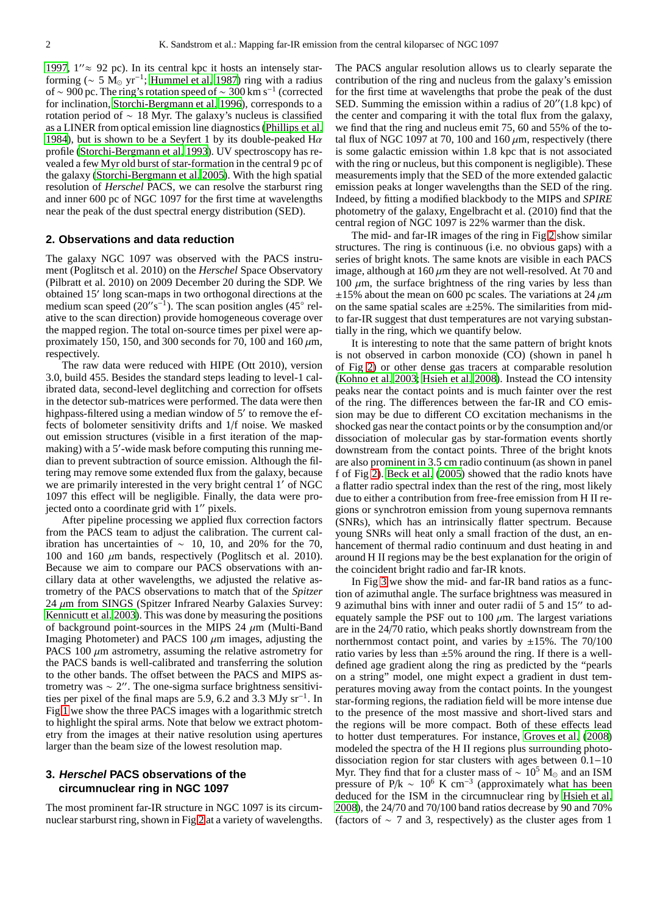[1997](#page-6-6),  $1'' \approx 92$  pc). In its central kpc it hosts an intensely starforming ( $\sim 5 \text{ M}_{\odot} \text{ yr}^{-1}$ ; [Hummel et al. 1987\)](#page-6-7) ring with a radius of ~ 900 pc. The ring's rotation speed of ~ 300 km s<sup>-1</sup> (corrected for inclination, [Storchi-Bergmann et al. 1996\)](#page-6-8), corresponds to a rotation period of ∼ 18 Myr. The galaxy's nucleus is classified as a LINER from optical emission line diagnostics [\(Phillips](#page-6-9) et al. [1984](#page-6-9)), but is shown to be a Seyfert 1 by its double-peaked  $H\alpha$ profile [\(Storchi-Bergmann et al. 1993\)](#page-6-10). UV spectroscopy has revealed a few Myr old burst of star-formation in the central 9 pc of the galaxy [\(Storchi-Bergmann et al. 2005\)](#page-6-11). With the high spatial resolution of *Herschel* PACS, we can resolve the starburst ring and inner 600 pc of NGC 1097 for the first time at wavelengths near the peak of the dust spectral energy distribution (SED).

#### **2. Observations and data reduction**

The galaxy NGC 1097 was observed with the PACS instrument (Poglitsch et al. 2010) on the *Herschel* Space Observatory (Pilbratt et al. 2010) on 2009 December 20 during the SDP. We obtained 15′ long scan-maps in two orthogonal directions at the medium scan speed  $(20^{\prime\prime} \text{s}^{-1})$ . The scan position angles  $(45^{\circ} \text{ rel-})$ ative to the scan direction) provide homogeneous coverage over the mapped region. The total on-source times per pixel were approximately 150, 150, and 300 seconds for 70, 100 and 160  $\mu$ m, respectively.

The raw data were reduced with HIPE (Ott 2010), version 3.0, build 455. Besides the standard steps leading to level-1 calibrated data, second-level deglitching and correction for offsets in the detector sub-matrices were performed. The data were then highpass-filtered using a median window of 5′ to remove the effects of bolometer sensitivity drifts and 1/f noise. We masked out emission structures (visible in a first iteration of the mapmaking) with a 5'-wide mask before computing this running median to prevent subtraction of source emission. Although the filtering may remove some extended flux from the galaxy, because we are primarily interested in the very bright central 1′ of NGC 1097 this effect will be negligible. Finally, the data were projected onto a coordinate grid with 1′′ pixels.

After pipeline processing we applied flux correction factors from the PACS team to adjust the calibration. The current calibration has uncertainties of  $\sim$  10, 10, and 20% for the 70, 100 and 160  $\mu$ m bands, respectively (Poglitsch et al. 2010). Because we aim to compare our PACS observations with ancillary data at other wavelengths, we adjusted the relative astrometry of the PACS observations to match that of the *Spitzer*  $24 \mu m$  from SINGS (Spitzer Infrared Nearby Galaxies Survey: [Kennicutt et al. 2003\)](#page-6-12). This was done by measuring the positions of background point-sources in the MIPS 24  $\mu$ m (Multi-Band Imaging Photometer) and PACS  $100 \mu m$  images, adjusting the PACS 100  $\mu$ m astrometry, assuming the relative astrometry for the PACS bands is well-calibrated and transferring the solution to the other bands. The offset between the PACS and MIPS astrometry was ∼ 2 ′′. The one-sigma surface brightness sensitivities per pixel of the final maps are 5.9, 6.2 and 3.3 MJy sr<sup>−</sup><sup>1</sup> . In Fig [1](#page-4-0) we show the three PACS images with a logarithmic stretch to highlight the spiral arms. Note that below we extract photometry from the images at their native resolution using apertures larger than the beam size of the lowest resolution map.

### **3. Herschel PACS observations of the circumnuclear ring in NGC 1097**

The most prominent far-IR structure in NGC 1097 is its circumnuclear starburst ring, shown in Fig [2](#page-4-1) at a variety of wavelengths. The PACS angular resolution allows us to clearly separate the contribution of the ring and nucleus from the galaxy's emission for the first time at wavelengths that probe the peak of the dust SED. Summing the emission within a radius of 20′′(1.8 kpc) of the center and comparing it with the total flux from the galaxy, we find that the ring and nucleus emit 75, 60 and 55% of the total flux of NGC 1097 at 70, 100 and 160  $\mu$ m, respectively (there is some galactic emission within 1.8 kpc that is not associated with the ring or nucleus, but this component is negligible). These measurements imply that the SED of the more extended galactic emission peaks at longer wavelengths than the SED of the ring. Indeed, by fitting a modified blackbody to the MIPS and *SPIRE* photometry of the galaxy, Engelbracht et al. (2010) find that the central region of NGC 1097 is 22% warmer than the disk.

The mid- and far-IR images of the ring in Fig [2](#page-4-1) show similar structures. The ring is continuous (i.e. no obvious gaps) with a series of bright knots. The same knots are visible in each PACS image, although at 160  $\mu$ m they are not well-resolved. At 70 and 100  $\mu$ m, the surface brightness of the ring varies by less than  $\pm 15\%$  about the mean on 600 pc scales. The variations at 24  $\mu$ m on the same spatial scales are  $\pm 25\%$ . The similarities from midto far-IR suggest that dust temperatures are not varying substantially in the ring, which we quantify below.

It is interesting to note that the same pattern of bright knots is not observed in carbon monoxide (CO) (shown in panel h of Fig [2\)](#page-4-1) or other dense gas tracers at comparable resolution [\(Kohno et al. 2003;](#page-6-13) [Hsieh et al. 2008](#page-6-14)). Instead the CO intensity peaks near the contact points and is much fainter over the rest of the ring. The differences between the far-IR and CO emission may be due to different CO excitation mechanisms in the shocked gas near the contact points or by the consumption and/or dissociation of molecular gas by star-formation events shortly downstream from the contact points. Three of the bright knots are also prominent in 3.5 cm radio continuum (as shown in panel f of Fig [2\)](#page-4-1). [Beck et al. \(2005\)](#page-5-5) showed that the radio knots have a flatter radio spectral index than the rest of the ring, most likely due to either a contribution from free-free emission from H II regions or synchrotron emission from young supernova remnants (SNRs), which has an intrinsically flatter spectrum. Because young SNRs will heat only a small fraction of the dust, an enhancement of thermal radio continuum and dust heating in and around H II regions may be the best explanation for the origin of the coincident bright radio and far-IR knots.

In Fig [3](#page-5-6) we show the mid- and far-IR band ratios as a function of azimuthal angle. The surface brightness was measured in 9 azimuthal bins with inner and outer radii of 5 and 15′′ to adequately sample the PSF out to 100  $\mu$ m. The largest variations are in the 24/70 ratio, which peaks shortly downstream from the northernmost contact point, and varies by  $\pm 15\%$ . The 70/100 ratio varies by less than  $\pm 5\%$  around the ring. If there is a welldefined age gradient along the ring as predicted by the "pearls on a string" model, one might expect a gradient in dust temperatures moving away from the contact points. In the youngest star-forming regions, the radiation field will be more intense due to the presence of the most massive and short-lived stars and the regions will be more compact. Both of these effects lead to hotter dust temperatures. For instance, [Groves et al. \(2008\)](#page-6-15) modeled the spectra of the H II regions plus surrounding photodissociation region for star clusters with ages between 0.1−10 Myr. They find that for a cluster mass of  $\sim 10^5$  M<sub>☉</sub> and an ISM pressure of P/k  $\sim 10^6$  K cm<sup>-3</sup> (approximately what has been deduced for the ISM in the circumnuclear ring by [Hsieh et al.](#page-6-14) [2008\)](#page-6-14), the 24/70 and 70/100 band ratios decrease by 90 and 70% (factors of ∼ 7 and 3, respectively) as the cluster ages from 1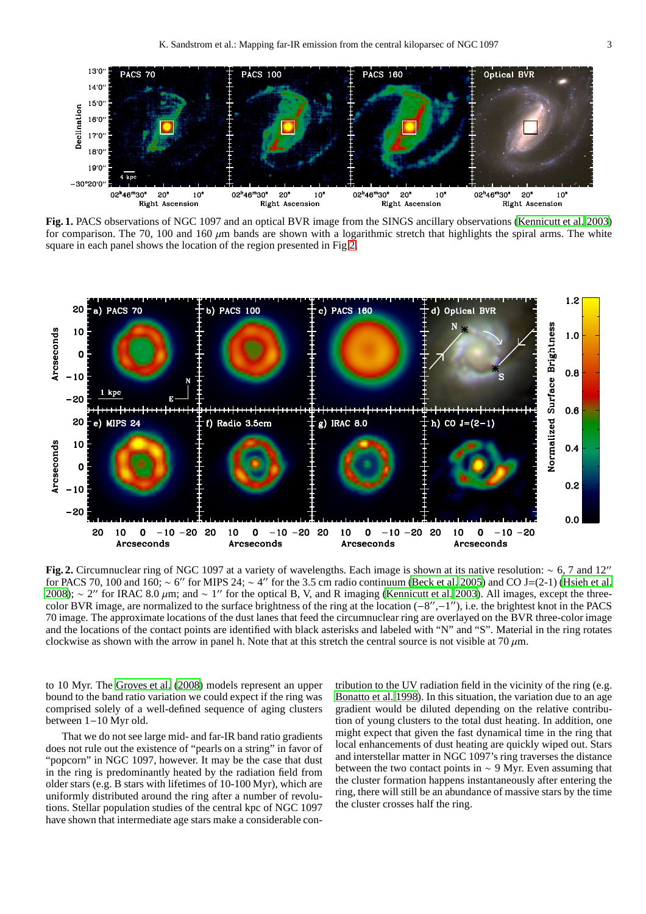

<span id="page-4-0"></span>**Fig. 1.** PACS observations of NGC 1097 and an optical BVR image from the SINGS ancillary observations [\(Kennicutt et al. 2003\)](#page-6-12) for comparison. The 70, 100 and 160  $\mu$ m bands are shown with a logarithmic stretch that highlights the spiral arms. The white square in each panel shows the location of the region presented in Fig [2.](#page-4-1)



<span id="page-4-1"></span>**Fig. 2.** Circumnuclear ring of NGC 1097 at a variety of wavelengths. Each image is shown at its native resolution: ∼ 6, 7 and 12′′ for PACS 70, 100 and 160; ~ 6" for MIPS 24; ~ 4" for the 3.5 cm radio continuum [\(Beck et al. 2005\)](#page-5-5) and CO J=(2-1) [\(Hsieh et al.](#page-6-14) [2008](#page-6-14)); ~ 2″ for IRAC 8.0 μm; and ~ 1″ for the optical B, V, and R imaging [\(Kennicutt et al. 2003\)](#page-6-12). All images, except the threecolor BVR image, are normalized to the surface brightness of the ring at the location (−8 ′′ ,−1 ′′), i.e. the brightest knot in the PACS 70 image. The approximate locations of the dust lanes that feed the circumnuclear ring are overlayed on the BVR three-color image and the locations of the contact points are identified with black asterisks and labeled with "N" and "S". Material in the ring rotates clockwise as shown with the arrow in panel h. Note that at this stretch the central source is not visible at  $70 \mu m$ .

to 10 Myr. The [Groves et al.](#page-6-15) [\(2008\)](#page-6-15) models represent an upper bound to the band ratio variation we could expect if the ring was comprised solely of a well-defined sequence of aging clusters between 1−10 Myr old.

That we do not see large mid- and far-IR band ratio gradients does not rule out the existence of "pearls on a string" in favor of "popcorn" in NGC 1097, however. It may be the case that dust in the ring is predominantly heated by the radiation field from older stars (e.g. B stars with lifetimes of 10-100 Myr), which are uniformly distributed around the ring after a number of revolutions. Stellar population studies of the central kpc of NGC 1097 have shown that intermediate age stars make a considerable contribution to the UV radiation field in the vicinity of the ring (e.g. [Bonatto et al. 1998\)](#page-5-7). In this situation, the variation due to an age gradient would be diluted depending on the relative contribution of young clusters to the total dust heating. In addition, one might expect that given the fast dynamical time in the ring that local enhancements of dust heating are quickly wiped out. Stars and interstellar matter in NGC 1097's ring traverses the distance between the two contact points in  $\sim$  9 Myr. Even assuming that the cluster formation happens instantaneously after entering the ring, there will still be an abundance of massive stars by the time the cluster crosses half the ring.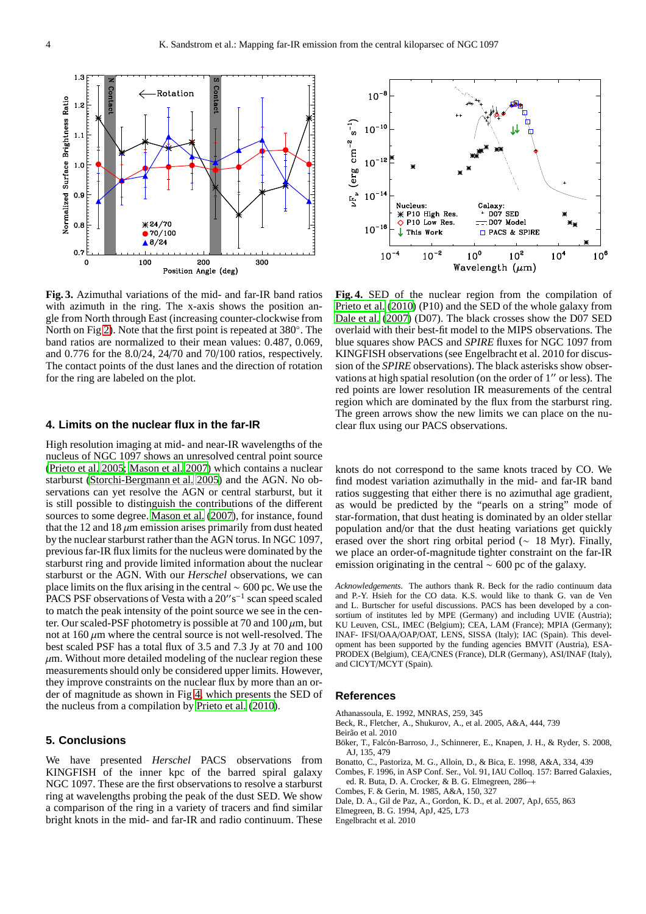

<span id="page-5-6"></span>**Fig. 3.** Azimuthal variations of the mid- and far-IR band ratios with azimuth in the ring. The x-axis shows the position angle from North through East (increasing counter-clockwise from North on Fig [2\)](#page-4-1). Note that the first point is repeated at 380◦ . The band ratios are normalized to their mean values: 0.487, 0.069, and 0.776 for the 8.0/24, 24/70 and 70/100 ratios, respectively. The contact points of the dust lanes and the direction of rotation for the ring are labeled on the plot.

#### **4. Limits on the nuclear flux in the far-IR**

High resolution imaging at mid- and near-IR wavelengths of the nucleus of NGC 1097 shows an unresolved central point source [\(Prieto et al. 2005;](#page-6-16) [Mason et al. 2007](#page-6-17)) which contains a nuclear starburst [\(Storchi-Bergmann et al. 2005\)](#page-6-11) and the AGN. No observations can yet resolve the AGN or central starburst, but it is still possible to distinguish the contributions of the different sources to some degree. [Mason et al. \(2007\)](#page-6-17), for instance, found that the 12 and 18  $\mu$ m emission arises primarily from dust heated by the nuclear starburst rather than the AGN torus. In NGC 1097, previous far-IR flux limits for the nucleus were dominated by the starburst ring and provide limited information about the nuclear starburst or the AGN. With our *Herschel* observations, we can place limits on the flux arising in the central ∼ 600 pc. We use the PACS PSF observations of Vesta with a 20"s<sup>-1</sup> scan speed scaled to match the peak intensity of the point source we see in the center. Our scaled-PSF photometry is possible at 70 and  $100 \mu m$ , but not at  $160 \mu m$  where the central source is not well-resolved. The best scaled PSF has a total flux of 3.5 and 7.3 Jy at 70 and 100  $\mu$ m. Without more detailed modeling of the nuclear region these measurements should only be considered upper limits. However, they improve constraints on the nuclear flux by more than an order of magnitude as shown in Fig [4,](#page-5-8) which presents the SED of the nucleus from a compilation by [Prieto et al.](#page-6-18) [\(2010\)](#page-6-18).

#### **5. Conclusions**

We have presented *Herschel* PACS observations from KINGFISH of the inner kpc of the barred spiral galaxy NGC 1097. These are the first observations to resolve a starburst ring at wavelengths probing the peak of the dust SED. We show a comparison of the ring in a variety of tracers and find similar bright knots in the mid- and far-IR and radio continuum. These



<span id="page-5-8"></span>**Fig. 4.** SED of the nuclear region from the compilation of [Prieto et al. \(2010\)](#page-6-18) (P10) and the SED of the whole galaxy from [Dale et al.](#page-5-9) [\(2007\)](#page-5-9) (D07). The black crosses show the D07 SED overlaid with their best-fit model to the MIPS observations. The blue squares show PACS and *SPIRE* fluxes for NGC 1097 from KINGFISH observations (see Engelbracht et al. 2010 for discussion of the *SPIRE* observations). The black asterisks show observations at high spatial resolution (on the order of 1′′ or less). The red points are lower resolution IR measurements of the central region which are dominated by the flux from the starburst ring. The green arrows show the new limits we can place on the nuclear flux using our PACS observations.

knots do not correspond to the same knots traced by CO. We find modest variation azimuthally in the mid- and far-IR band ratios suggesting that either there is no azimuthal age gradient, as would be predicted by the "pearls on a string" mode of star-formation, that dust heating is dominated by an older stellar population and/or that the dust heating variations get quickly erased over the short ring orbital period ( $\sim$  18 Myr). Finally, we place an order-of-magnitude tighter constraint on the far-IR emission originating in the central ∼ 600 pc of the galaxy.

*Acknowledgements.* The authors thank R. Beck for the radio continuum data and P.-Y. Hsieh for the CO data. K.S. would like to thank G. van de Ven and L. Burtscher for useful discussions. PACS has been developed by a consortium of institutes led by MPE (Germany) and including UVIE (Austria); KU Leuven, CSL, IMEC (Belgium); CEA, LAM (France); MPIA (Germany); INAF- IFSI/OAA/OAP/OAT, LENS, SISSA (Italy); IAC (Spain). This development has been supported by the funding agencies BMVIT (Austria), ESA-PRODEX (Belgium), CEA/CNES (France), DLR (Germany), ASI/INAF (Italy), and CICYT/MCYT (Spain).

#### **References**

- <span id="page-5-1"></span>Athanassoula, E. 1992, MNRAS, 259, 345
- <span id="page-5-5"></span>Beck, R., Fletcher, A., Shukurov, A., et al. 2005, A&A, 444, 739

Beirão et al. 2010

- <span id="page-5-4"></span>Böker, T., Falcón-Barroso, J., Schinnerer, E., Knapen, J. H., & Ryder, S. 2008, AJ, 135, 479
- <span id="page-5-7"></span>Bonatto, C., Pastoriza, M. G., Alloin, D., & Bica, E. 1998, A&A, 334, 439
- <span id="page-5-2"></span>Combes, F. 1996, in ASP Conf. Ser., Vol. 91, IAU Colloq. 157: Barred Galaxies, ed. R. Buta, D. A. Crocker, & B. G. Elmegreen, 286–+
- <span id="page-5-0"></span>Combes, F. & Gerin, M. 1985, A&A, 150, 327
- <span id="page-5-9"></span>Dale, D. A., Gil de Paz, A., Gordon, K. D., et al. 2007, ApJ, 655, 863
- <span id="page-5-3"></span>Elmegreen, B. G. 1994, ApJ, 425, L73
- Engelbracht et al. 2010